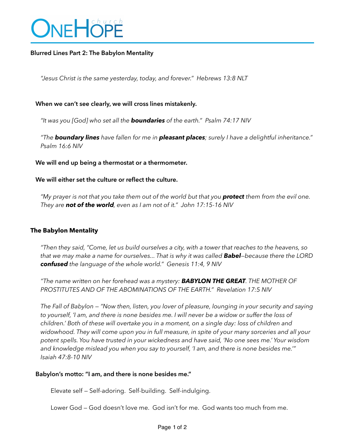

## **Blurred Lines Part 2: The Babylon Mentality**

*"Jesus Christ is the same yesterday, today, and forever." Hebrews 13:8 NLT* 

### **When we can't see clearly, we will cross lines mistakenly.**

*"It was you [God] who set all the boundaries of the earth." Psalm 74:17 NIV* 

*"The boundary lines have fallen for me in pleasant places; surely I have a delightful inheritance." Psalm 16:6 NIV* 

#### **We will end up being a thermostat or a thermometer.**

#### **We will either set the culture or reflect the culture.**

*"My prayer is not that you take them out of the world but that you protect them from the evil one. They are not of the world, even as I am not of it." John 17:15-16 NIV* 

#### **The Babylon Mentality**

*"Then they said, "Come, let us build ourselves a city, with a tower that reaches to the heavens, so that we may make a name for ourselves... That is why it was called Babel—because there the LORD confused the language of the whole world." Genesis 11:4, 9 NIV* 

*"The name written on her forehead was a mystery: BABYLON THE GREAT. THE MOTHER OF PROSTITUTES AND OF THE ABOMINATIONS OF THE EARTH." Revelation 17:5 NIV* 

*The Fall of Babylon — "Now then, listen, you lover of pleasure, lounging in your security and saying to yourself, 'I am, and there is none besides me. I will never be a widow or suffer the loss of children.' Both of these will overtake you in a moment, on a single day: loss of children and widowhood. They will come upon you in full measure, in spite of your many sorceries and all your potent spells. You have trusted in your wickedness and have said, 'No one sees me.' Your wisdom and knowledge mislead you when you say to yourself, 'I am, and there is none besides me.'" Isaiah 47:8-10 NIV* 

#### **Babylon's motto: "I am, and there is none besides me."**

Elevate self — Self-adoring. Self-building. Self-indulging.

Lower God — God doesn't love me. God isn't for me. God wants too much from me.